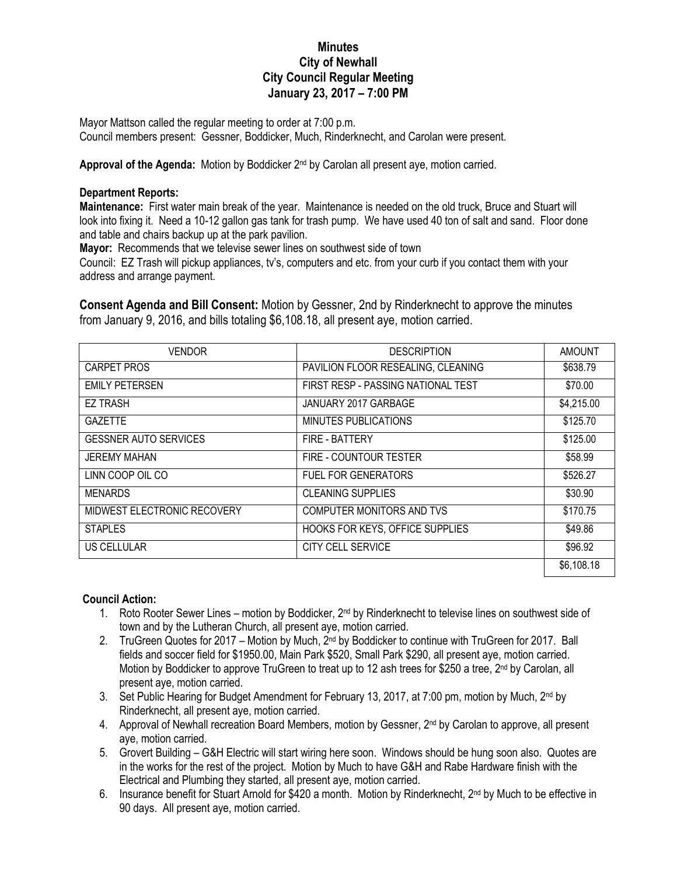## **Minutes City of Newhall City Council Regular Meeting January 23, 2017 – 7:00 PM**

Mayor Mattson called the regular meeting to order at 7:00 p.m. Council members present: Gessner, Boddicker, Much, Rinderknecht, and Carolan were present.

Approval of the Agenda: Motion by Boddicker 2<sup>nd</sup> by Carolan all present aye, motion carried.

## **Department Reports:**

**Maintenance:** First water main break of the year. Maintenance is needed on the old truck, Bruce and Stuart will look into fixing it. Need a 10-12 gallon gas tank for trash pump. We have used 40 ton of salt and sand. Floor done and table and chairs backup up at the park pavilion.

**Mayor:** Recommends that we televise sewer lines on southwest side of town

Council: EZ Trash will pickup appliances, tv's, computers and etc. from your curb if you contact them with your address and arrange payment.

**Consent Agenda and Bill Consent:** Motion by Gessner, 2nd by Rinderknecht to approve the minutes from January 9, 2016, and bills totaling \$6,108.18, all present aye, motion carried.

| <b>VENDOR</b>                | <b>DESCRIPTION</b>                 | <b>AMOUNT</b> |
|------------------------------|------------------------------------|---------------|
| CARPET PROS                  | PAVILION FLOOR RESEALING, CLEANING | \$638.79      |
| <b>EMILY PETERSEN</b>        | FIRST RESP - PASSING NATIONAL TEST | \$70.00       |
| <b>EZ TRASH</b>              | JANUARY 2017 GARBAGE               | \$4,215.00    |
| <b>GAZETTE</b>               | MINUTES PUBLICATIONS               | \$125.70      |
| <b>GESSNER AUTO SERVICES</b> | FIRE - BATTERY                     | \$125.00      |
| <b>JEREMY MAHAN</b>          | FIRE - COUNTOUR TESTER             | \$58.99       |
| LINN COOP OIL CO             | <b>FUEL FOR GENERATORS</b>         | \$526.27      |
| <b>MENARDS</b>               | <b>CLEANING SUPPLIES</b>           | \$30.90       |
| MIDWEST ELECTRONIC RECOVERY  | COMPUTER MONITORS AND TVS          | \$170.75      |
| <b>STAPLES</b>               | HOOKS FOR KEYS, OFFICE SUPPLIES    | \$49.86       |
| US CELLULAR                  | <b>CITY CELL SERVICE</b>           | \$96.92       |
|                              |                                    | \$6,108.18    |

## **Council Action:**

- 1. Roto Rooter Sewer Lines motion by Boddicker, 2<sup>nd</sup> by Rinderknecht to televise lines on southwest side of town and by the Lutheran Church, all present aye, motion carried.
- 2. TruGreen Quotes for 2017 Motion by Much, 2<sup>nd</sup> by Boddicker to continue with TruGreen for 2017. Ball fields and soccer field for \$1950.00, Main Park \$520, Small Park \$290, all present aye, motion carried. Motion by Boddicker to approve TruGreen to treat up to 12 ash trees for \$250 a tree, 2<sup>nd</sup> by Carolan, all present aye, motion carried.
- 3. Set Public Hearing for Budget Amendment for February 13, 2017, at 7:00 pm, motion by Much, 2<sup>nd</sup> by Rinderknecht, all present aye, motion carried.
- 4. Approval of Newhall recreation Board Members, motion by Gessner, 2<sup>nd</sup> by Carolan to approve, all present aye, motion carried.
- 5. Grovert Building G&H Electric will start wiring here soon. Windows should be hung soon also. Quotes are in the works for the rest of the project. Motion by Much to have G&H and Rabe Hardware finish with the Electrical and Plumbing they started, all present aye, motion carried.
- 6. Insurance benefit for Stuart Arnold for \$420 a month. Motion by Rinderknecht, 2<sup>nd</sup> by Much to be effective in 90 days. All present aye, motion carried.